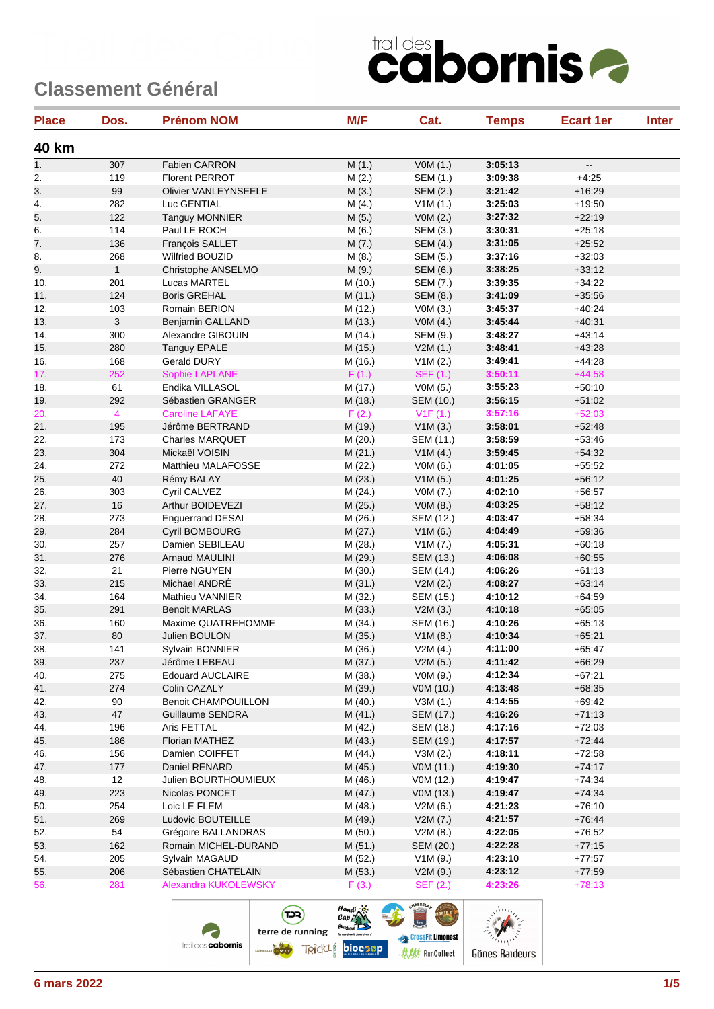| <b>Place</b> | Dos.         | <b>Prénom NOM</b>                       | M/F                | Cat.               | <b>Temps</b>       | <b>Ecart 1er</b>     | <b>Inter</b> |
|--------------|--------------|-----------------------------------------|--------------------|--------------------|--------------------|----------------------|--------------|
| 40 km        |              |                                         |                    |                    |                    |                      |              |
| 1.           | 307          | Fabien CARRON                           | M(1.)              | VOM(1.)            | 3:05:13            | ۰.                   |              |
| 2.           | 119          | <b>Florent PERROT</b>                   | M(2.)              | SEM (1.)           | 3:09:38            | $+4:25$              |              |
| 3.           | 99           | <b>Olivier VANLEYNSEELE</b>             | M(3.)              | SEM (2.)           | 3:21:42            | $+16:29$             |              |
| 4.           | 282          | Luc GENTIAL                             | M(4.)              | V1M(1.)            | 3:25:03            | $+19:50$             |              |
| 5.           | 122          | Tanguy MONNIER                          | M(5.)              | VOM(2.)            | 3:27:32            | $+22:19$             |              |
| 6.           | 114          | Paul LE ROCH                            | M(6.)              | SEM (3.)           | 3:30:31            | $+25:18$             |              |
| 7.           | 136          | François SALLET                         | M(7.)              | SEM (4.)           | 3:31:05            | $+25:52$             |              |
| 8.           | 268          | Wilfried BOUZID                         | M(8.)              | SEM (5.)           | 3:37:16            | $+32:03$             |              |
| 9.           | $\mathbf{1}$ | Christophe ANSELMO                      | M(9.)              | SEM (6.)           | 3:38:25            | $+33:12$             |              |
| 10.          | 201          | Lucas MARTEL                            | M (10.)            | SEM (7.)           | 3:39:35            | $+34:22$             |              |
| 11.          | 124          | <b>Boris GREHAL</b>                     | M (11.)            | SEM (8.)           | 3:41:09            | $+35:56$             |              |
| 12.          | 103          | Romain BERION                           | M (12.)            | VOM(3.)            | 3:45:37            | $+40:24$             |              |
| 13.          | $\mathbf{3}$ | Benjamin GALLAND                        | M (13.)            | VOM(4.)            | 3:45:44            | $+40:31$             |              |
| 14.          | 300          | Alexandre GIBOUIN                       | M (14.)            | SEM (9.)           | 3:48:27            | $+43:14$             |              |
| 15.          | 280          | Tanguy EPALE                            | M (15.)            | V2M(1.)            | 3:48:41            | $+43:28$             |              |
| 16.          | 168          | Gerald DURY                             | M (16.)            | V1M(2.)            | 3:49:41            | $+44:28$             |              |
| 17.          | 252          | Sophie LAPLANE                          | F(1.)              | <b>SEF (1.)</b>    | 3:50:11            | $+44:58$             |              |
| 18.          | 61           | Endika VILLASOL                         | M (17.)            | VOM(5.)            | 3:55:23            | $+50:10$             |              |
| 19.          | 292          | Sébastien GRANGER                       | M (18.)            | SEM (10.)          | 3:56:15            | $+51:02$             |              |
| 20.          | 4            | <b>Caroline LAFAYE</b>                  | F(2.)              | V1F(1.)            | 3:57:16            | $+52:03$             |              |
| 21.          | 195          | Jérôme BERTRAND                         | M (19.)            | V1M(3.)            | 3:58:01            | $+52:48$             |              |
| 22.          | 173          | <b>Charles MARQUET</b>                  | M(20.)             | SEM (11.)          | 3:58:59            | $+53.46$             |              |
| 23.          | 304          | Mickaël VOISIN                          | M(21.)             | V1M(4.)            | 3:59:45            | $+54:32$             |              |
| 24.          | 272          | Matthieu MALAFOSSE                      | M (22.)            | VOM(6.)            | 4:01:05            | $+55:52$             |              |
| 25.          | 40           | Rémy BALAY                              | M (23.)            | V1M(5.)            | 4:01:25            | $+56:12$             |              |
| 26.          | 303          | Cyril CALVEZ                            | M (24.)            | VOM(7.)            | 4:02:10            | $+56:57$             |              |
| 27.          | 16           | Arthur BOIDEVEZI                        | M (25.)            | V0M (8.)           | 4:03:25            | $+58:12$             |              |
| 28.          | 273          | <b>Enguerrand DESAI</b>                 | M (26.)            | SEM (12.)          | 4:03:47            | $+58:34$             |              |
| 29.          | 284          | <b>Cyril BOMBOURG</b>                   | M(27.)             | V1M(6.)            | 4:04:49            | $+59:36$             |              |
| 30.          | 257          | Damien SEBILEAU                         | M (28.)            | V1M(7.)            | 4:05:31            | $+60:18$             |              |
| 31.          | 276          | Arnaud MAULINI                          | M (29.)            | SEM (13.)          | 4:06:08            | $+60:55$             |              |
| 32.          | 21           | Pierre NGUYEN                           | M (30.)            | SEM (14.)          | 4:06:26            | $+61:13$             |              |
| 33.          | 215          | Michael ANDRE                           | M(31.)             | V2M(2.)            | 4:08:27            | $+63:14$             |              |
| 34.          | 164<br>291   | Mathieu VANNIER<br><b>Benoit MARLAS</b> | M (32.)            | SEM (15.)          | 4:10:12<br>4:10:18 | $+64:59$             |              |
| 35.          |              |                                         | M (33.)            | V2M(3.)            |                    | $+65:05$             |              |
| 36.<br>37.   | 160<br>80    | Maxime QUATREHOMME<br>Julien BOULON     | M (34.)            | SEM (16.)          | 4:10:26<br>4:10:34 | $+65:13$             |              |
| 38.          | 141          |                                         | M (35.)            | V1M(8.)            | 4:11:00            | $+65:21$             |              |
| 39.          | 237          | Sylvain BONNIER<br>Jérôme LEBEAU        | M (36.)<br>M (37.) | V2M(4.)<br>V2M(5.) | 4:11:42            | $+65:47$<br>$+66:29$ |              |
| 40.          | 275          | <b>Edouard AUCLAIRE</b>                 | M (38.)            | V0M (9.)           | 4:12:34            | $+67:21$             |              |
| 41.          | 274          | Colin CAZALY                            | M (39.)            | V0M (10.)          | 4:13:48            | $+68:35$             |              |
| 42.          | 90           | <b>Benoit CHAMPOUILLON</b>              | M (40.)            | V3M (1.)           | 4:14:55            | $+69:42$             |              |
| 43.          | 47           | Guillaume SENDRA                        | M(41.)             | SEM (17.)          | 4:16:26            | $+71:13$             |              |
| 44.          | 196          | Aris FETTAL                             | M (42.)            | SEM (18.)          | 4:17:16            | $+72:03$             |              |
| 45.          | 186          | Florian MATHEZ                          | M (43.)            | SEM (19.)          | 4:17:57            | $+72:44$             |              |
| 46.          | 156          | Damien COIFFET                          | M (44.)            | V3M (2.)           | 4:18:11            | $+72:58$             |              |
| 47.          | 177          | Daniel RENARD                           | M (45.)            | VOM (11.)          | 4:19:30            | $+74:17$             |              |
| 48.          | 12           | Julien BOURTHOUMIEUX                    | M (46.)            | V0M (12.)          | 4:19:47            | $+74.34$             |              |
| 49.          | 223          | Nicolas PONCET                          | M (47.)            | V0M (13.)          | 4:19:47            | $+74.34$             |              |
| 50.          | 254          | Loic LE FLEM                            | M (48.)            | V2M(6.)            | 4:21:23            | $+76:10$             |              |
| 51.          | 269          | Ludovic BOUTEILLE                       | M (49.)            | V2M(7.)            | 4:21:57            | $+76:44$             |              |
| 52.          | 54           | Grégoire BALLANDRAS                     | M (50.)            | V2M(8.)            | 4:22:05            | $+76.52$             |              |
| 53.          | 162          | Romain MICHEL-DURAND                    | M(51.)             | SEM (20.)          | 4:22:28            | $+77:15$             |              |
| 54.          | 205          | Sylvain MAGAUD                          | M (52.)            | V1M(9.)            | 4:23:10            | $+77:57$             |              |
| 55.          | 206          | Sébastien CHATELAIN                     | M (53.)            | V2M(9.)            | 4:23:12            | $+77:59$             |              |
| 56.          | 281          | Alexandra KUKOLEWSKY                    | F(3.)              | <b>SEF (2.)</b>    | 4:23:26            | $+78:13$             |              |
|              |              | $\bigodot$                              | $H$ andi $\sim$    | CHASSELAL MONTS OF | Salary             |                      |              |

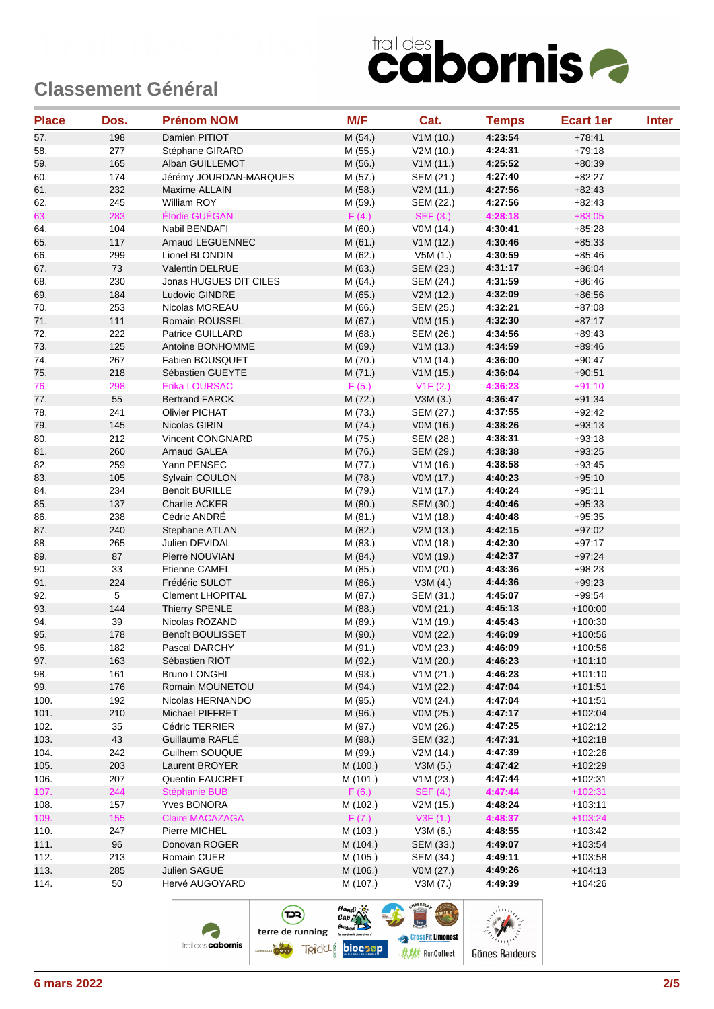#### **Classement Général**

| <b>Place</b> | Dos.      | <b>Prénom NOM</b>            | M/F                  | Cat.                 | <b>Temps</b>       | <b>Ecart 1er</b>       | <b>Inter</b> |
|--------------|-----------|------------------------------|----------------------|----------------------|--------------------|------------------------|--------------|
| 57.          | 198       | Damien PITIOT                | M(54.)               | V1M(10.)             | 4:23:54            | $+78.41$               |              |
| 58.          | 277       | Stéphane GIRARD              | M (55.)              | V2M (10.)            | 4:24:31            | $+79:18$               |              |
| 59.          | 165       | Alban GUILLEMOT              | M(56.)               | V1M(11.)             | 4:25:52            | $+80:39$               |              |
| 60.          | 174       | Jérémy JOURDAN-MARQUES       | M (57.)              | SEM (21.)            | 4:27:40            | $+82:27$               |              |
| 61.          | 232       | Maxime ALLAIN                | M (58.)              | V2M(11.)             | 4:27:56            | $+82:43$               |              |
| 62.          | 245       | William ROY                  | M (59.)              | SEM (22.)            | 4:27:56            | $+82:43$               |              |
| 63.          | 283       | Élodie GUÉGAN                | F(4.)                | SEF (3.)             | 4:28:18            | $+83:05$               |              |
| 64.          | 104       | Nabil BENDAFI                | M(60.)               | V0M (14.)            | 4:30:41            | $+85:28$               |              |
| 65.          | 117       | Arnaud LEGUENNEC             | M (61.)              | V1M(12.)             | 4:30:46            | $+85:33$               |              |
| 66.          | 299       | Lionel BLONDIN               | M (62.)              | V5M (1.)             | 4:30:59            | $+85:46$               |              |
| 67.          | 73        | Valentin DELRUE              | M(63.)               | SEM (23.)            | 4:31:17            | $+86:04$               |              |
| 68.          | 230       | Jonas HUGUES DIT CILES       | M (64.)              | SEM (24.)            | 4:31:59            | $+86:46$               |              |
| 69.          | 184       | Ludovic GINDRE               | M (65.)              | V2M (12.)            | 4:32:09            | $+86:56$               |              |
| 70.          | 253       | Nicolas MOREAU               | M (66.)              | SEM (25.)            | 4:32:21            | $+87:08$               |              |
| 71.          | 111       | Romain ROUSSEL               | M (67.)              | V0M (15.)            | 4:32:30            | $+87:17$               |              |
| 72.          | 222       | Patrice GUILLARD             | M (68.)              | SEM (26.)            | 4:34:56            | $+89:43$               |              |
| 73.          | 125       | Antoine BONHOMME             | M (69.)              | V1M(13.)             | 4:34:59            | $+89:46$               |              |
| 74.          | 267       | Fabien BOUSQUET              | M (70.)              | V1M(14.)             | 4:36:00            | $+90:47$               |              |
| 75.          | 218       | Sébastien GUEYTE             | M (71.)              | V1M(15.)             | 4:36:04            | $+90:51$               |              |
| 76.          | 298       | <b>Erika LOURSAC</b>         | F(5.)                | V1F(2.)              | 4:36:23            | $+91:10$               |              |
| 77.          | 55        | <b>Bertrand FARCK</b>        | M (72.)              | V3M(3.)              | 4:36:47            | $+91:34$               |              |
| 78.          | 241       | <b>Olivier PICHAT</b>        | M (73.)              | SEM (27.)            | 4:37:55            | $+92:42$               |              |
| 79.          | 145       | Nicolas GIRIN                | M (74.)              | V0M (16.)            | 4:38:26            | $+93:13$               |              |
| 80.          | 212       | Vincent CONGNARD             | M (75.)              | SEM (28.)            | 4:38:31            | $+93:18$               |              |
| 81.          | 260       | Arnaud GALEA                 | M (76.)              | SEM (29.)            | 4:38:38            | $+93:25$               |              |
| 82.          | 259       | Yann PENSEC                  | M (77.)              | V1M(16.)             | 4:38:58            | $+93:45$               |              |
| 83.          | 105       | Sylvain COULON               | M (78.)              | V0M (17.)            | 4:40:23            | $+95:10$               |              |
| 84.          | 234       | <b>Benoit BURILLE</b>        | M (79.)              | V1M(17.)             | 4:40:24            | $+95:11$               |              |
| 85.          | 137       | Charlie ACKER                | M (80.)              | SEM (30.)            | 4:40:46            | $+95:33$               |              |
| 86.          | 238       | Cédric ANDRÉ                 | M (81.)              | V1M (18.)            | 4:40:48            | $+95:35$               |              |
| 87.          | 240       | Stephane ATLAN               | M (82.)              | V2M (13.)            | 4:42:15            | $+97:02$               |              |
| 88.          | 265       | Julien DEVIDAL               | M (83.)              | V0M (18.)            | 4:42:30            | $+97:17$               |              |
| 89.          | 87        | Pierre NOUVIAN               | M (84.)              | V0M (19.)            | 4:42:37            | $+97:24$               |              |
| 90.          | 33        | Etienne CAMEL                | M (85.)              | V0M (20.)            | 4:43:36            | $+98:23$               |              |
| 91.          | 224       | Frédéric SULOT               | M (86.)              | V3M(4.)              | 4:44:36            | $+99:23$               |              |
| 92.          | 5         | <b>Clement LHOPITAL</b>      | M (87.)              | SEM (31.)            | 4:45:07            | $+99:54$               |              |
| 93.          | 144       | Thierry SPENLE               | M (88.)              | V0M (21.)            | 4:45:13            | $+100:00$              |              |
| 94.          | 39        | Nicolas ROZAND               | M (89.)              | V1M (19.)            | 4:45:43            | $+100:30$              |              |
| 95.          | 178       | Benoît BOULISSET             | M (90.)              | VOM (22.)            | 4:46:09            | $+100:56$              |              |
| 96.          | 182       | Pascal DARCHY                | M (91.)              | V0M (23.)            | 4:46:09            | $+100:56$              |              |
| 97.          | 163       | Sébastien RIOT               | M (92.)              | V1M(20.)             | 4:46:23            | $+101:10$              |              |
| 98.          | 161       | <b>Bruno LONGHI</b>          | M (93.)              | V1M (21.)            | 4:46:23            | $+101:10$              |              |
| 99.          | 176       | Romain MOUNETOU              | M (94.)              | V1M (22.)            | 4:47:04            | $+101:51$              |              |
| 100.         | 192       | Nicolas HERNANDO             | M (95.)              | VOM (24.)            | 4:47:04            | $+101:51$              |              |
| 101.         | 210       | Michael PIFFRET              | M (96.)              | V0M (25.)            | 4:47:17            | $+102:04$              |              |
| 102.         | 35        | Cédric TERRIER               | M (97.)              | V0M (26.)            | 4:47:25            | $+102:12$              |              |
| 103.         | 43        | Guillaume RAFLÉ              | M (98.)              | SEM (32.)            | 4:47:31            | $+102:18$              |              |
| 104.         | 242       | Guilhem SOUQUE               | M (99.)              | V2M(14.)             | 4:47:39            | $+102:26$              |              |
| 105.         | 203       | Laurent BROYER               | M (100.)             | V3M(5.)              | 4:47:42            | $+102:29$              |              |
| 106.         | 207       | Quentin FAUCRET              | M (101.)             | V1M (23.)            | 4:47:44            | $+102:31$              |              |
| 107.         | 244       | Stéphanie BUB                | F(6.)                | <b>SEF (4.)</b>      | 4:47:44            | $+102:31$              |              |
| 108.         | 157       | Yves BONORA                  | M (102.)             | V2M (15.)            | 4:48:24            | $+103:11$              |              |
| 109.         | 155       | <b>Claire MACAZAGA</b>       | F(7.)                | V3F(1.)              | 4:48:37            | $+103:24$              |              |
| 110.         | 247       | Pierre MICHEL                | M (103.)             | V3M (6.)             | 4:48:55            | $+103:42$              |              |
| 111.         | 96<br>213 | Donovan ROGER<br>Romain CUER | M (104.)             | SEM (33.)            | 4:49:07<br>4:49:11 | $+103:54$              |              |
| 112.<br>113. | 285       | Julien SAGUÉ                 | M (105.)             | SEM (34.)            | 4:49:26            | $+103:58$<br>$+104:13$ |              |
| 114.         | 50        | Hervé AUGOYARD               | M (106.)<br>M (107.) | V0M (27.)<br>V3M(7.) | 4:49:39            | $+104:26$              |              |
|              |           |                              |                      | CHASSELAL            |                    |                        |              |
|              |           | $\curvearrowright$           | $H$ andi $\sim$      |                      | $\omega_{\alpha}$  |                        |              |

 $éva<sub>sion</sub>$ 

**CrossFit Limonest** 

**東赫** RunCollect

Gônes Raideurs

terre de running



R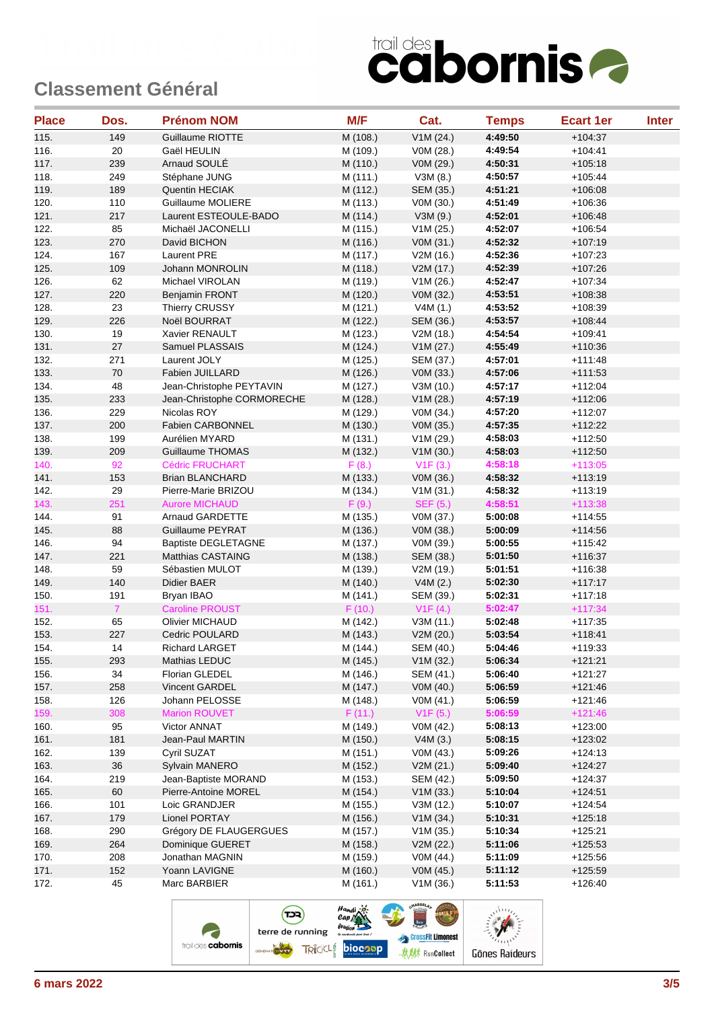| <b>Place</b> | Dos.           | <b>Prénom NOM</b>          | M/F      | Cat.      | <b>Temps</b> | <b>Ecart 1er</b> | <b>Inter</b> |
|--------------|----------------|----------------------------|----------|-----------|--------------|------------------|--------------|
| 115.         | 149            | Guillaume RIOTTE           | M (108.) | V1M (24.) | 4:49:50      | $+104.37$        |              |
| 116.         | 20             | Gaël HEULIN                | M (109.) | VOM (28.) | 4:49:54      | $+104:41$        |              |
| 117.         | 239            | Arnaud SOULE               | M (110.) | V0M (29.) | 4:50:31      | $+105:18$        |              |
| 118.         | 249            | Stéphane JUNG              | M (111.) | V3M(8.)   | 4:50:57      | $+105:44$        |              |
| 119.         | 189            | Quentin HECIAK             | M (112.) | SEM (35.) | 4:51:21      | $+106:08$        |              |
| 120.         | 110            | Guillaume MOLIERE          | M (113.) | V0M (30.) | 4:51:49      | +106:36          |              |
| 121.         | 217            | Laurent ESTEOULE-BADO      | M (114.) | V3M (9.)  | 4:52:01      | $+106.48$        |              |
| 122.         | 85             | Michaël JACONELLI          | M (115.) | V1M (25.) | 4:52:07      | $+106:54$        |              |
| 123.         | 270            | David BICHON               | M (116.) | V0M (31.) | 4:52:32      | $+107:19$        |              |
| 124.         | 167            | <b>Laurent PRE</b>         | M (117.) | V2M (16.) | 4:52:36      | $+107:23$        |              |
| 125.         | 109            | Johann MONROLIN            | M (118.) | V2M (17.) | 4:52:39      | $+107:26$        |              |
| 126.         | 62             | Michael VIROLAN            | M (119.) | V1M(26.)  | 4:52:47      | $+107:34$        |              |
| 127.         | 220            | Benjamin FRONT             | M (120.) | V0M (32.) | 4:53:51      | $+108:38$        |              |
| 128.         | 23             | <b>Thierry CRUSSY</b>      | M (121.) | V4M(1.)   | 4:53:52      | $+108:39$        |              |
| 129.         | 226            | Noël BOURRAT               | M (122.) | SEM (36.) | 4:53:57      | $+108:44$        |              |
| 130.         | 19             | Xavier RENAULT             | M (123.) | V2M (18.) | 4:54:54      | $+109:41$        |              |
| 131.         | 27             | Samuel PLASSAIS            | M (124.) | V1M (27.) | 4:55:49      | $+110:36$        |              |
| 132.         | 271            | Laurent JOLY               | M (125.) | SEM (37.) | 4:57:01      | $+111:48$        |              |
| 133.         | 70             | Fabien JUILLARD            | M (126.) | V0M (33.) | 4:57:06      | $+111:53$        |              |
| 134.         | 48             | Jean-Christophe PEYTAVIN   | M (127.) | V3M (10.) | 4:57:17      | $+112:04$        |              |
| 135.         | 233            | Jean-Christophe CORMORECHE | M (128.) | V1M (28.) | 4:57:19      | $+112:06$        |              |
| 136.         | 229            | Nicolas ROY                | M (129.) | V0M (34.) | 4:57:20      | $+112:07$        |              |
| 137.         | 200            | <b>Fabien CARBONNEL</b>    | M (130.) | V0M (35.) | 4:57:35      | $+112:22$        |              |
| 138.         | 199            | Aurélien MYARD             | M (131.) | V1M (29.) | 4:58:03      | $+112:50$        |              |
| 139.         | 209            | Guillaume THOMAS           | M (132.) | V1M(30.)  | 4:58:03      | $+112:50$        |              |
| 140.         | 92             | <b>Cédric FRUCHART</b>     | F(8.)    | V1F(3.)   | 4:58:18      | $+113:05$        |              |
| 141.         | 153            | <b>Brian BLANCHARD</b>     | M (133.) | V0M (36.) | 4:58:32      | $+113:19$        |              |
| 142.         | 29             | Pierre-Marie BRIZOU        | M (134.) | V1M(31.)  | 4:58:32      | $+113:19$        |              |
| 143.         | 251            | <b>Aurore MICHAUD</b>      | F(9.)    | SEF (5.)  | 4:58:51      | $+113:38$        |              |
| 144.         | 91             | <b>Arnaud GARDETTE</b>     | M (135.) | V0M (37.) | 5:00:08      | $+114.55$        |              |
| 145.         | 88             | Guillaume PEYRAT           | M (136.) | V0M (38.) | 5:00:09      | $+114:56$        |              |
| 146.         | 94             | <b>Baptiste DEGLETAGNE</b> | M (137.) | V0M (39.) | 5:00:55      | $+115:42$        |              |
| 147.         | 221            | Matthias CASTAING          | M (138.) | SEM (38.) | 5:01:50      | $+116:37$        |              |
| 148.         | 59             | Sébastien MULOT            | M (139.) | V2M (19.) | 5:01:51      | $+116:38$        |              |
| 149.         | 140            | <b>Didier BAER</b>         | M (140.) | V4M(2.)   | 5:02:30      | $+117:17$        |              |
| 150.         | 191            | Bryan IBAO                 | M(141.)  | SEM (39.) | 5:02:31      | $+117:18$        |              |
| 151.         | $\overline{7}$ | <b>Caroline PROUST</b>     | F(10.)   | V1F(4.)   | 5:02:47      | $+117:34$        |              |
| 152.         | 65             | <b>Olivier MICHAUD</b>     | M (142.) | V3M (11.) | 5:02:48      | $+117:35$        |              |
| 153.         | 227            | Cedric POULARD             | M (143.) | V2M (20.) | 5:03:54      | $+118:41$        |              |
| 154.         | 14             | Richard LARGET             | M (144.) | SEM (40.) | 5:04:46      | $+119:33$        |              |
| 155.         | 293            | Mathias LEDUC              | M (145.) | V1M (32.) | 5:06:34      | $+121:21$        |              |
| 156.         | 34             | Florian GLEDEL             | M (146.) | SEM (41.) | 5:06:40      | $+121:27$        |              |
| 157.         | 258            | <b>Vincent GARDEL</b>      | M (147.) | VOM (40.) | 5:06:59      | $+121:46$        |              |
| 158.         | 126            | Johann PELOSSE             | M (148.) | V0M (41.) | 5:06:59      | $+121:46$        |              |
| 159.         | 308            | <b>Marion ROUVET</b>       | F(11.)   | V1F(5.)   | 5:06:59      | $+121:46$        |              |
| 160.         | 95             | Victor ANNAT               | M (149.) | V0M (42.) | 5:08:13      | $+123:00$        |              |
| 161.         | 181            | Jean-Paul MARTIN           | M (150.) | V4M(3.)   | 5:08:15      | $+123:02$        |              |
| 162.         | 139            | Cyril SUZAT                | M (151.) | V0M (43.) | 5:09:26      | $+124:13$        |              |
| 163.         | 36             | Sylvain MANERO             | M (152.) | V2M(21.)  | 5:09:40      | $+124:27$        |              |
| 164.         | 219            | Jean-Baptiste MORAND       | M (153.) | SEM (42.) | 5:09:50      | $+124:37$        |              |
| 165.         | 60             | Pierre-Antoine MOREL       | M (154.) | V1M(33.)  | 5:10:04      | $+124:51$        |              |
| 166.         | 101            | Loic GRANDJER              | M (155.) | V3M (12.) | 5:10:07      | $+124:54$        |              |
| 167.         | 179            | Lionel PORTAY              | M (156.) | V1M (34.) | 5:10:31      | $+125:18$        |              |
| 168.         | 290            | Grégory DE FLAUGERGUES     | M (157.) | V1M (35.) | 5:10:34      | $+125:21$        |              |
| 169.         | 264            | Dominique GUERET           | M (158.) | V2M (22.) | 5:11:06      | $+125:53$        |              |
| 170.         | 208            | Jonathan MAGNIN            | M (159.) | V0M (44.) | 5:11:09      | $+125:56$        |              |
| 171.         | 152            | Yoann LAVIGNE              | M (160.) | V0M (45.) | 5:11:12      | $+125:59$        |              |
| 172.         | 45             | Marc BARBIER               | M (161.) | V1M(36.)  | 5:11:53      | $+126:40$        |              |
|              |                |                            |          |           |              |                  |              |

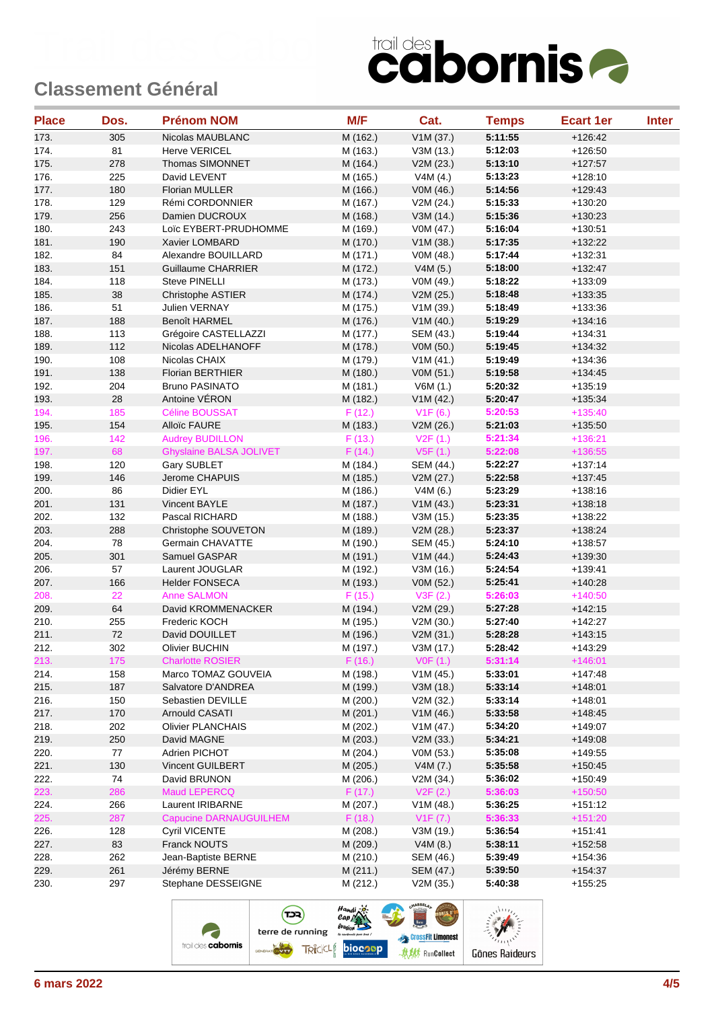| <b>Place</b> | Dos. | <b>Prénom NOM</b>              | M/F      | Cat.        | <b>Temps</b> | <b>Ecart 1er</b> | <b>Inter</b> |
|--------------|------|--------------------------------|----------|-------------|--------------|------------------|--------------|
| 173.         | 305  | Nicolas MAUBLANC               | M (162.) | V1M (37.)   | 5:11:55      | $+126:42$        |              |
| 174.         | 81   | Herve VERICEL                  | M (163.) | V3M (13.)   | 5:12:03      | $+126:50$        |              |
| 175.         | 278  | Thomas SIMONNET                | M (164.) | V2M (23.)   | 5:13:10      | $+127:57$        |              |
| 176.         | 225  | David LEVENT                   | M (165.) | V4M (4.)    | 5:13:23      | $+128:10$        |              |
| 177.         | 180  | <b>Florian MULLER</b>          | M (166.) | V0M (46.)   | 5:14:56      | $+129:43$        |              |
| 178.         | 129  | Rémi CORDONNIER                | M (167.) | V2M (24.)   | 5:15:33      | $+130:20$        |              |
| 179.         | 256  | Damien DUCROUX                 | M (168.) | V3M (14.)   | 5:15:36      | $+130:23$        |              |
| 180.         | 243  | Loïc EYBERT-PRUDHOMME          | M (169.) | VOM (47.)   | 5:16:04      | $+130:51$        |              |
| 181.         | 190  | Xavier LOMBARD                 | M (170.) | V1M (38.)   | 5:17:35      | $+132:22$        |              |
| 182.         | 84   | Alexandre BOUILLARD            | M (171.) | V0M (48.)   | 5:17:44      | $+132:31$        |              |
| 183.         | 151  | Guillaume CHARRIER             | M (172.) | V4M(5.)     | 5:18:00      | $+132:47$        |              |
| 184.         | 118  | Steve PINELLI                  | M (173.) | V0M (49.)   | 5:18:22      | $+133:09$        |              |
| 185.         | 38   | <b>Christophe ASTIER</b>       | M (174.) | V2M (25.)   | 5:18:48      | $+133:35$        |              |
| 186.         | 51   | Julien VERNAY                  | M (175.) | V1M (39.)   | 5:18:49      | +133:36          |              |
| 187.         | 188  | Benoît HARMEL                  | M (176.) | V1M(40.)    | 5:19:29      | $+134:16$        |              |
| 188.         | 113  | Grégoire CASTELLAZZI           | M (177.) | SEM (43.)   | 5:19:44      | $+134:31$        |              |
| 189.         | 112  | Nicolas ADELHANOFF             | M (178.) | V0M (50.)   | 5:19:45      | $+134:32$        |              |
| 190.         | 108  | Nicolas CHAIX                  | M (179.) | V1M(41.)    | 5:19:49      | $+134:36$        |              |
| 191.         | 138  | <b>Florian BERTHIER</b>        | M (180.) | V0M (51.)   | 5:19:58      | $+134:45$        |              |
| 192.         | 204  | <b>Bruno PASINATO</b>          | M (181.) | V6M (1.)    | 5:20:32      | $+135:19$        |              |
| 193.         | 28   | Antoine VÉRON                  | M (182.) | V1M (42.)   | 5:20:47      | $+135:34$        |              |
| 194.         | 185  | Céline BOUSSAT                 | F(12.)   | V1F(6.)     | 5:20:53      | $+135:40$        |              |
| 195.         | 154  | <b>Alloïc FAURE</b>            | M (183.) | V2M(26.)    | 5:21:03      | $+135:50$        |              |
| 196.         | 142  | <b>Audrey BUDILLON</b>         | F(13.)   | V2F(1.)     | 5:21:34      | $+136:21$        |              |
| 197.         | 68   | <b>Ghyslaine BALSA JOLIVET</b> | F(14.)   | V5F(1.)     | 5:22:08      | $+136:55$        |              |
| 198.         | 120  | Gary SUBLET                    | M (184.) | SEM (44.)   | 5:22:27      | $+137:14$        |              |
| 199.         | 146  | Jerome CHAPUIS                 | M (185.) | V2M (27.)   | 5:22:58      | $+137:45$        |              |
| 200.         | 86   | Didier EYL                     | M (186.) | V4M (6.)    | 5:23:29      | $+138:16$        |              |
| 201.         | 131  | <b>Vincent BAYLE</b>           | M (187.) | V1M(43.)    | 5:23:31      | $+138:18$        |              |
| 202.         | 132  | Pascal RICHARD                 | M (188.) | V3M (15.)   | 5:23:35      | $+138:22$        |              |
| 203.         | 288  | Christophe SOUVETON            | M (189.) | V2M (28.)   | 5:23:37      | $+138.24$        |              |
| 204.         | 78   | Germain CHAVATTE               | M (190.) | SEM (45.)   | 5:24:10      | +138:57          |              |
| 205.         | 301  | Samuel GASPAR                  | M (191.) | V1M (44.)   | 5:24:43      | +139:30          |              |
| 206.         | 57   | Laurent JOUGLAR                | M (192.) | V3M (16.)   | 5:24:54      | $+139:41$        |              |
| 207.         | 166  | <b>Helder FONSECA</b>          | M (193.) | V0M (52.)   | 5:25:41      | $+140:28$        |              |
| 208.         | 22   | <b>Anne SALMON</b>             | F(15.)   | V3F(2.)     | 5:26:03      | $+140:50$        |              |
| 209.         | 64   | David KROMMENACKER             | M (194.) | V2M (29.)   | 5:27:28      | $+142:15$        |              |
| 210.         | 255  | Frederic KOCH                  | M (195.) | V2M (30.)   | 5:27:40      | $+142:27$        |              |
| 211.         | 72   | David DOUILLET                 | M (196.) | V2M(31.)    | 5:28:28      | $+143:15$        |              |
| 212.         | 302  | Olivier BUCHIN                 | M (197.) | V3M (17.)   | 5:28:42      | $+143:29$        |              |
| 213.         | 175  | <b>Charlotte ROSIER</b>        | F(16.)   | VOF(1.)     | 5:31:14      | $+146:01$        |              |
| 214.         | 158  | Marco TOMAZ GOUVEIA            | M (198.) | $V1M$ (45.) | 5:33:01      | $+147:48$        |              |
| 215.         | 187  | Salvatore D'ANDREA             | M (199.) | V3M (18.)   | 5:33:14      | $+148:01$        |              |
| 216.         | 150  | Sebastien DEVILLE              | M (200.) | V2M (32.)   | 5:33:14      | $+148:01$        |              |
| 217.         | 170  | <b>Arnould CASATI</b>          | M (201.) | V1M(46.)    | 5:33:58      | $+148.45$        |              |
| 218.         | 202  | <b>Olivier PLANCHAIS</b>       | M (202.) | V1M (47.)   | 5:34:20      | $+149:07$        |              |
| 219.         | 250  | David MAGNE                    | M (203.) | V2M (33.)   | 5:34:21      | $+149:08$        |              |
| 220.         | 77   | Adrien PICHOT                  | M (204.) | V0M (53.)   | 5:35:08      | +149:55          |              |
| 221.         | 130  | Vincent GUILBERT               | M (205.) | V4M(7.)     | 5:35:58      | $+150:45$        |              |
| 222.         | 74   | David BRUNON                   | M (206.) | V2M (34.)   | 5:36:02      | $+150:49$        |              |
| 223.         | 286  | Maud LEPERCQ                   | F(17.)   | V2F(2.)     | 5:36:03      | $+150:50$        |              |
| 224.         | 266  | Laurent IRIBARNE               | M (207.) | V1M(48.)    | 5:36:25      | $+151:12$        |              |
| 225.         | 287  | <b>Capucine DARNAUGUILHEM</b>  | F(18.)   | V1F(7.)     | 5:36:33      | $+151:20$        |              |
| 226.         | 128  | <b>Cyril VICENTE</b>           | M (208.) | V3M (19.)   | 5:36:54      | $+151:41$        |              |
| 227.         | 83   | Franck NOUTS                   | M (209.) | V4M(8.)     | 5:38:11      | $+152:58$        |              |
| 228.         | 262  | Jean-Baptiste BERNE            | M (210.) | SEM (46.)   | 5:39:49      | $+154:36$        |              |
| 229.         | 261  | Jérémy BERNE                   | M (211.) | SEM (47.)   | 5:39:50      | $+154:37$        |              |
| 230.         | 297  | Stephane DESSEIGNE             | M (212.) | V2M (35.)   | 5:40:38      | $+155:25$        |              |